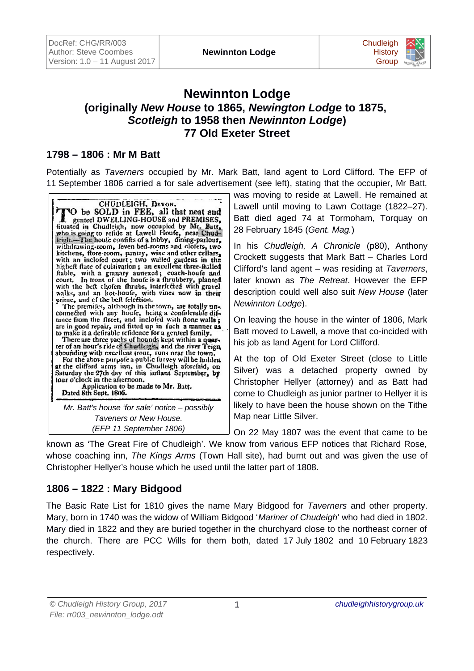

# **Newinnton Lodge (originally** *New House* **to 1865,** *Newington Lodge* **to 1875,**  *Scotleigh* **to 1958 then** *Newinnton Lodge***) 77 Old Exeter Street**

### **1798 – 1806 : Mr M Batt**

Potentially as *Taverners* occupied by Mr. Mark Batt, land agent to Lord Clifford. The EFP of 11 September 1806 carried a for sale advertisement (see left), stating that the occupier, Mr Batt,



*Mr. Batt's house 'for sale' notice – possibly Taveners or New House. (EFP 11 September 1806)*

was moving to reside at Lawell. He remained at Lawell until moving to Lawn Cottage (1822–27). Batt died aged 74 at Tormoham, Torquay on 28 February 1845 (*Gent. Mag.*)

In his *Chudleigh, A Chronicle* (p80), Anthony Crockett suggests that Mark Batt – Charles Lord Clifford's land agent – was residing at *Taverners*, later known as *The Retreat*. However the EFP description could well also suit *New House* (later *Newinnton Lodge*).

On leaving the house in the winter of 1806, Mark Batt moved to Lawell, a move that co-incided with his job as land Agent for Lord Clifford.

At the top of Old Exeter Street (close to Little Silver) was a detached property owned by Christopher Hellyer (attorney) and as Batt had come to Chudleigh as junior partner to Hellyer it is likely to have been the house shown on the Tithe Map near Little Silver.

On 22 May 1807 was the event that came to be

known as 'The Great Fire of Chudleigh'. We know from various EFP notices that Richard Rose, whose coaching inn, *The Kings Arms* (Town Hall site), had burnt out and was given the use of Christopher Hellyer's house which he used until the latter part of 1808.

### **1806 – 1822 : Mary Bidgood**

The Basic Rate List for 1810 gives the name Mary Bidgood for *Taverners* and other property. Mary, born in 1740 was the widow of William Bidgood '*Mariner of Chudeigh*' who had died in 1802. Mary died in 1822 and they are buried together in the churchyard close to the northeast corner of the church. There are PCC Wills for them both, dated 17 July 1802 and 10 February 1823 respectively.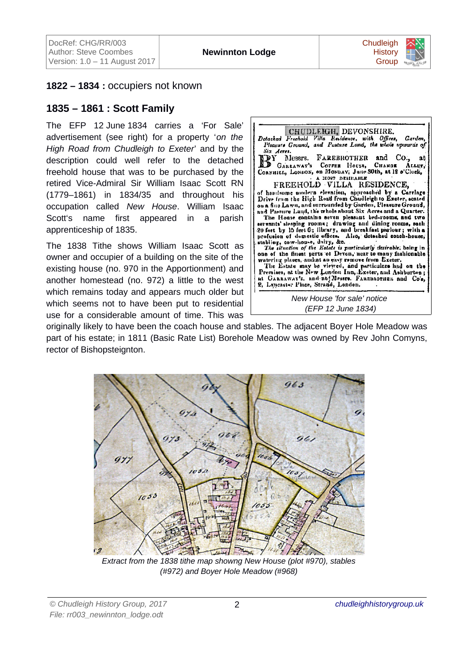

#### **1822 – 1834 :** occupiers not known

#### **1835 – 1861 : Scott Family**

The EFP 12 June 1834 carries a 'For Sale' advertisement (see right) for a property '*on the High Road from Chudleigh to Exeter*' and by the description could well refer to the detached freehold house that was to be purchased by the retired Vice-Admiral Sir William Isaac Scott RN (1779–1861) in 1834/35 and throughout his occupation called *New House*. William Isaac Scott's name first appeared in a parish apprenticeship of 1835.

The 1838 Tithe shows William Isaac Scott as owner and occupier of a building on the site of the existing house (no. 970 in the Apportionment) and another homestead (no. 972) a little to the west which remains today and appears much older but which seems not to have been put to residential use for a considerable amount of time. This was



*(EFP 12 June 1834)*

originally likely to have been the coach house and stables. The adjacent Boyer Hole Meadow was part of his estate; in 1811 (Basic Rate List) Borehole Meadow was owned by Rev John Comyns, rector of Bishopsteignton.



*Extract from the 1838 tithe map showng New House (plot #970), stables (#972) and Boyer Hole Meadow (#968)*

*© Chudleigh History Group, 2017 File: rr003\_newinnton\_lodge.odt*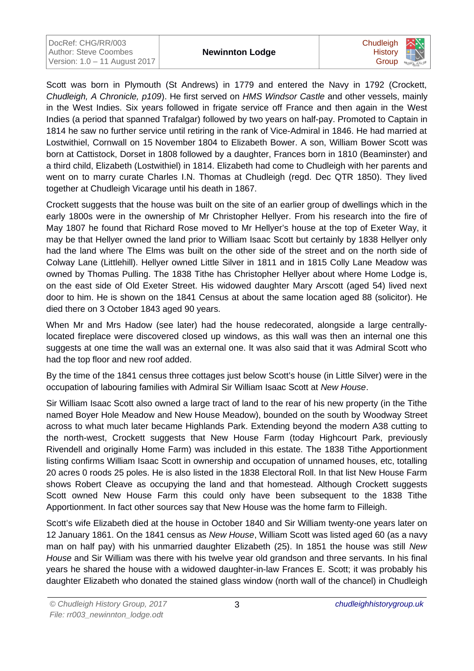| DocRef: CHG/RR/003            |
|-------------------------------|
| Author: Steve Coombes         |
| Version: 1.0 - 11 August 2017 |



Scott was born in Plymouth (St Andrews) in 1779 and entered the Navy in 1792 (Crockett, *Chudleigh, A Chronicle, p109*). He first served on *HMS Windsor Castle* and other vessels, mainly in the West Indies. Six years followed in frigate service off France and then again in the West Indies (a period that spanned Trafalgar) followed by two years on half-pay. Promoted to Captain in 1814 he saw no further service until retiring in the rank of Vice-Admiral in 1846. He had married at Lostwithiel, Cornwall on 15 November 1804 to Elizabeth Bower. A son, William Bower Scott was born at Cattistock, Dorset in 1808 followed by a daughter, Frances born in 1810 (Beaminster) and a third child, Elizabeth (Lostwithiel) in 1814. Elizabeth had come to Chudleigh with her parents and went on to marry curate Charles I.N. Thomas at Chudleigh (regd. Dec QTR 1850). They lived together at Chudleigh Vicarage until his death in 1867.

Crockett suggests that the house was built on the site of an earlier group of dwellings which in the early 1800s were in the ownership of Mr Christopher Hellyer. From his research into the fire of May 1807 he found that Richard Rose moved to Mr Hellyer's house at the top of Exeter Way, it may be that Hellyer owned the land prior to William Isaac Scott but certainly by 1838 Hellyer only had the land where The Elms was built on the other side of the street and on the north side of Colway Lane (Littlehill). Hellyer owned Little Silver in 1811 and in 1815 Colly Lane Meadow was owned by Thomas Pulling. The 1838 Tithe has Christopher Hellyer about where Home Lodge is, on the east side of Old Exeter Street. His widowed daughter Mary Arscott (aged 54) lived next door to him. He is shown on the 1841 Census at about the same location aged 88 (solicitor). He died there on 3 October 1843 aged 90 years.

When Mr and Mrs Hadow (see later) had the house redecorated, alongside a large centrallylocated fireplace were discovered closed up windows, as this wall was then an internal one this suggests at one time the wall was an external one. It was also said that it was Admiral Scott who had the top floor and new roof added.

By the time of the 1841 census three cottages just below Scott's house (in Little Silver) were in the occupation of labouring families with Admiral Sir William Isaac Scott at *New House*.

Sir William Isaac Scott also owned a large tract of land to the rear of his new property (in the Tithe named Boyer Hole Meadow and New House Meadow), bounded on the south by Woodway Street across to what much later became Highlands Park. Extending beyond the modern A38 cutting to the north-west, Crockett suggests that New House Farm (today Highcourt Park, previously Rivendell and originally Home Farm) was included in this estate. The 1838 Tithe Apportionment listing confirms William Isaac Scott in ownership and occupation of unnamed houses, etc, totalling 20 acres 0 roods 25 poles. He is also listed in the 1838 Electoral Roll. In that list New House Farm shows Robert Cleave as occupying the land and that homestead. Although Crockett suggests Scott owned New House Farm this could only have been subsequent to the 1838 Tithe Apportionment. In fact other sources say that New House was the home farm to Filleigh.

Scott's wife Elizabeth died at the house in October 1840 and Sir William twenty-one years later on 12 January 1861. On the 1841 census as *New House*, William Scott was listed aged 60 (as a navy man on half pay) with his unmarried daughter Elizabeth (25). In 1851 the house was still *New House* and Sir William was there with his twelve year old grandson and three servants. In his final years he shared the house with a widowed daughter-in-law Frances E. Scott; it was probably his daughter Elizabeth who donated the stained glass window (north wall of the chancel) in Chudleigh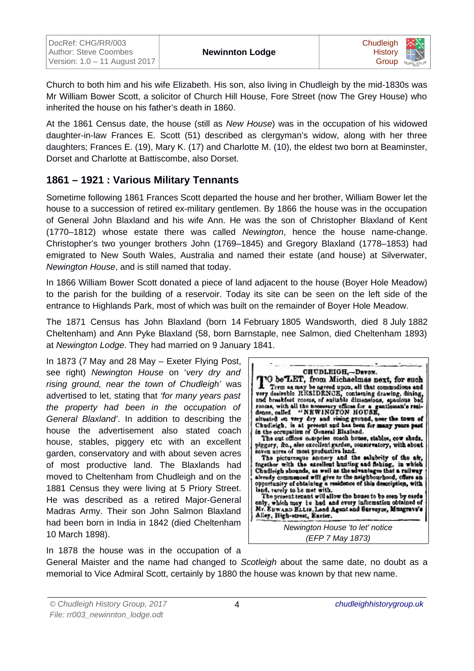

Church to both him and his wife Elizabeth. His son, also living in Chudleigh by the mid-1830s was Mr William Bower Scott, a solicitor of Church Hill House, Fore Street (now The Grey House) who inherited the house on his father's death in 1860.

At the 1861 Census date, the house (still as *New House*) was in the occupation of his widowed daughter-in-law Frances E. Scott (51) described as clergyman's widow, along with her three daughters; Frances E. (19), Mary K. (17) and Charlotte M. (10), the eldest two born at Beaminster, Dorset and Charlotte at Battiscombe, also Dorset.

# **1861 – 1921 : Various Military Tennants**

Sometime following 1861 Frances Scott departed the house and her brother, William Bower let the house to a succession of retired ex-military gentlemen. By 1866 the house was in the occupation of General John Blaxland and his wife Ann. He was the son of Christopher Blaxland of Kent (1770–1812) whose estate there was called *Newington*, hence the house name-change. Christopher's two younger brothers John (1769–1845) and Gregory Blaxland (1778–1853) had emigrated to New South Wales, Australia and named their estate (and house) at Silverwater, *Newington House*, and is still named that today.

In 1866 William Bower Scott donated a piece of land adjacent to the house (Boyer Hole Meadow) to the parish for the building of a reservoir. Today its site can be seen on the left side of the entrance to Highlands Park, most of which was built on the remainder of Boyer Hole Meadow.

The 1871 Census has John Blaxland (born 14 February 1805 Wandsworth, died 8 July 1882 Cheltenham) and Ann Pyke Blaxland (58, born Barnstaple, nee Salmon, died Cheltenham 1893) at *Newington Lodge*. They had married on 9 January 1841.

In 1873 (7 May and 28 May – Exeter Flying Post, see right) *Newington House* on '*very dry and rising ground, near the town of Chudleigh'* was advertised to let, stating that *'for many years past the property had been in the occupation of General Blaxland'*. In addition to describing the house the advertisement also stated coach house, stables, piggery etc with an excellent garden, conservatory and with about seven acres of most productive land. The Blaxlands had moved to Cheltenham from Chudleigh and on the 1881 Census they were living at 5 Priory Street. He was described as a retired Major-General Madras Army. Their son John Salmon Blaxland had been born in India in 1842 (died Cheltenham 10 March 1898).



In 1878 the house was in the occupation of a

General Maister and the name had changed to *Scotleigh* about the same date, no doubt as a memorial to Vice Admiral Scott, certainly by 1880 the house was known by that new name.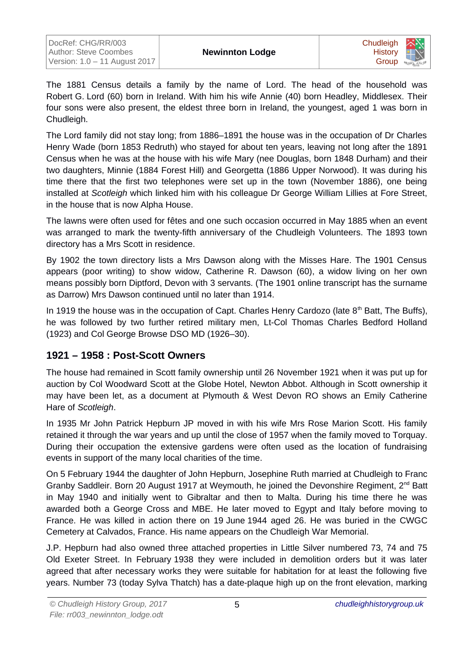

The 1881 Census details a family by the name of Lord. The head of the household was Robert G. Lord (60) born in Ireland. With him his wife Annie (40) born Headley, Middlesex. Their four sons were also present, the eldest three born in Ireland, the youngest, aged 1 was born in Chudleigh.

The Lord family did not stay long; from 1886–1891 the house was in the occupation of Dr Charles Henry Wade (born 1853 Redruth) who stayed for about ten years, leaving not long after the 1891 Census when he was at the house with his wife Mary (nee Douglas, born 1848 Durham) and their two daughters, Minnie (1884 Forest Hill) and Georgetta (1886 Upper Norwood). It was during his time there that the first two telephones were set up in the town (November 1886), one being installed at *Scotleigh* which linked him with his colleague Dr George William Lillies at Fore Street, in the house that is now Alpha House.

The lawns were often used for fêtes and one such occasion occurred in May 1885 when an event was arranged to mark the twenty-fifth anniversary of the Chudleigh Volunteers. The 1893 town directory has a Mrs Scott in residence.

By 1902 the town directory lists a Mrs Dawson along with the Misses Hare. The 1901 Census appears (poor writing) to show widow, Catherine R. Dawson (60), a widow living on her own means possibly born Diptford, Devon with 3 servants. (The 1901 online transcript has the surname as Darrow) Mrs Dawson continued until no later than 1914.

In 1919 the house was in the occupation of Capt. Charles Henry Cardozo (late  $8<sup>th</sup>$  Batt, The Buffs), he was followed by two further retired military men, Lt-Col Thomas Charles Bedford Holland (1923) and Col George Browse DSO MD (1926–30).

# **1921 – 1958 : Post-Scott Owners**

The house had remained in Scott family ownership until 26 November 1921 when it was put up for auction by Col Woodward Scott at the Globe Hotel, Newton Abbot. Although in Scott ownership it may have been let, as a document at Plymouth & West Devon RO shows an Emily Catherine Hare of *Scotleigh*.

In 1935 Mr John Patrick Hepburn JP moved in with his wife Mrs Rose Marion Scott. His family retained it through the war years and up until the close of 1957 when the family moved to Torquay. During their occupation the extensive gardens were often used as the location of fundraising events in support of the many local charities of the time.

On 5 February 1944 the daughter of John Hepburn, Josephine Ruth married at Chudleigh to Franc Granby Saddleir. Born 20 August 1917 at Weymouth, he joined the Devonshire Regiment, 2<sup>nd</sup> Batt in May 1940 and initially went to Gibraltar and then to Malta. During his time there he was awarded both a George Cross and MBE. He later moved to Egypt and Italy before moving to France. He was killed in action there on 19 June 1944 aged 26. He was buried in the CWGC Cemetery at Calvados, France. His name appears on the Chudleigh War Memorial.

J.P. Hepburn had also owned three attached properties in Little Silver numbered 73, 74 and 75 Old Exeter Street. In February 1938 they were included in demolition orders but it was later agreed that after necessary works they were suitable for habitation for at least the following five years. Number 73 (today Sylva Thatch) has a date-plaque high up on the front elevation, marking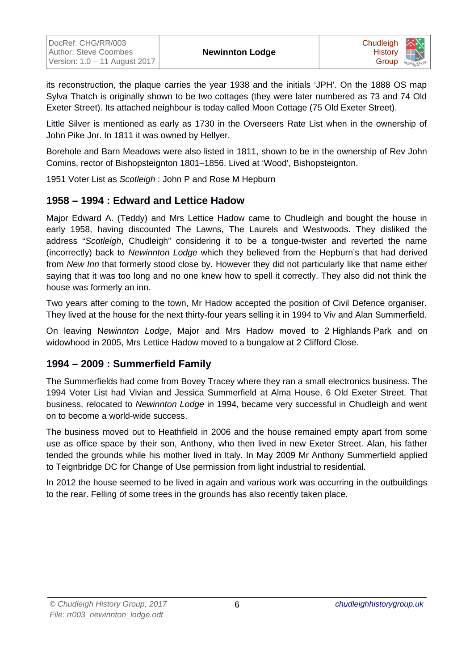

its reconstruction, the plaque carries the year 1938 and the initials 'JPH'. On the 1888 OS map Sylva Thatch is originally shown to be two cottages (they were later numbered as 73 and 74 Old Exeter Street). Its attached neighbour is today called Moon Cottage (75 Old Exeter Street).

Little Silver is mentioned as early as 1730 in the Overseers Rate List when in the ownership of John Pike Jnr. In 1811 it was owned by Hellyer.

Borehole and Barn Meadows were also listed in 1811, shown to be in the ownership of Rev John Comins, rector of Bishopsteignton 1801–1856. Lived at 'Wood', Bishopsteignton.

1951 Voter List as *Scotleigh* : John P and Rose M Hepburn

# **1958 – 1994 : Edward and Lettice Hadow**

Major Edward A. (Teddy) and Mrs Lettice Hadow came to Chudleigh and bought the house in early 1958, having discounted The Lawns, The Laurels and Westwoods. They disliked the address "*Scotleigh*, Chudleigh" considering it to be a tongue-twister and reverted the name (incorrectly) back to *Newinnton Lodge* which they believed from the Hepburn's that had derived from *New Inn* that formerly stood close by. However they did not particularly like that name either saying that it was too long and no one knew how to spell it correctly. They also did not think the house was formerly an inn.

Two years after coming to the town, Mr Hadow accepted the position of Civil Defence organiser. They lived at the house for the next thirty-four years selling it in 1994 to Viv and Alan Summerfield.

On leaving N*ewinnton Lodge*, Major and Mrs Hadow moved to 2 Highlands Park and on widowhood in 2005, Mrs Lettice Hadow moved to a bungalow at 2 Clifford Close.

# **1994 – 2009 : Summerfield Family**

The Summerfields had come from Bovey Tracey where they ran a small electronics business. The 1994 Voter List had Vivian and Jessica Summerfield at Alma House, 6 Old Exeter Street. That business, relocated to *Newinnton Lodge* in 1994, became very successful in Chudleigh and went on to become a world-wide success.

The business moved out to Heathfield in 2006 and the house remained empty apart from some use as office space by their son, Anthony, who then lived in new Exeter Street. Alan, his father tended the grounds while his mother lived in Italy. In May 2009 Mr Anthony Summerfield applied to Teignbridge DC for Change of Use permission from light industrial to residential.

In 2012 the house seemed to be lived in again and various work was occurring in the outbuildings to the rear. Felling of some trees in the grounds has also recently taken place.